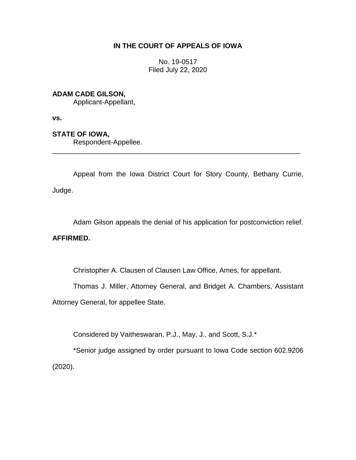### **IN THE COURT OF APPEALS OF IOWA**

No. 19-0517 Filed July 22, 2020

## **ADAM CADE GILSON,**

Applicant-Appellant,

**vs.**

# **STATE OF IOWA,**

Respondent-Appellee.

Appeal from the Iowa District Court for Story County, Bethany Currie, Judge.

\_\_\_\_\_\_\_\_\_\_\_\_\_\_\_\_\_\_\_\_\_\_\_\_\_\_\_\_\_\_\_\_\_\_\_\_\_\_\_\_\_\_\_\_\_\_\_\_\_\_\_\_\_\_\_\_\_\_\_\_\_\_\_\_

Adam Gilson appeals the denial of his application for postconviction relief.

### **AFFIRMED.**

Christopher A. Clausen of Clausen Law Office, Ames, for appellant.

Thomas J. Miller, Attorney General, and Bridget A. Chambers, Assistant

Attorney General, for appellee State.

Considered by Vaitheswaran, P.J., May, J., and Scott, S.J.\*

\*Senior judge assigned by order pursuant to Iowa Code section 602.9206 (2020).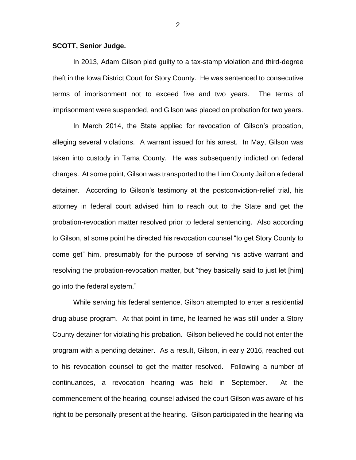#### **SCOTT, Senior Judge.**

In 2013, Adam Gilson pled guilty to a tax-stamp violation and third-degree theft in the Iowa District Court for Story County. He was sentenced to consecutive terms of imprisonment not to exceed five and two years. The terms of imprisonment were suspended, and Gilson was placed on probation for two years.

In March 2014, the State applied for revocation of Gilson's probation, alleging several violations. A warrant issued for his arrest. In May, Gilson was taken into custody in Tama County. He was subsequently indicted on federal charges. At some point, Gilson was transported to the Linn County Jail on a federal detainer. According to Gilson's testimony at the postconviction-relief trial, his attorney in federal court advised him to reach out to the State and get the probation-revocation matter resolved prior to federal sentencing. Also according to Gilson, at some point he directed his revocation counsel "to get Story County to come get" him, presumably for the purpose of serving his active warrant and resolving the probation-revocation matter, but "they basically said to just let [him] go into the federal system."

While serving his federal sentence, Gilson attempted to enter a residential drug-abuse program. At that point in time, he learned he was still under a Story County detainer for violating his probation. Gilson believed he could not enter the program with a pending detainer. As a result, Gilson, in early 2016, reached out to his revocation counsel to get the matter resolved. Following a number of continuances, a revocation hearing was held in September. At the commencement of the hearing, counsel advised the court Gilson was aware of his right to be personally present at the hearing. Gilson participated in the hearing via

2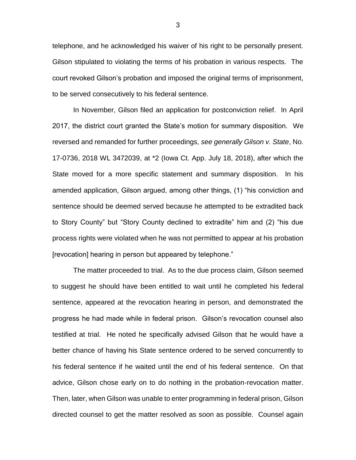telephone, and he acknowledged his waiver of his right to be personally present. Gilson stipulated to violating the terms of his probation in various respects. The court revoked Gilson's probation and imposed the original terms of imprisonment, to be served consecutively to his federal sentence.

In November, Gilson filed an application for postconviction relief. In April 2017, the district court granted the State's motion for summary disposition. We reversed and remanded for further proceedings, *see generally Gilson v. State*, No. 17-0736, 2018 WL 3472039, at \*2 (Iowa Ct. App. July 18, 2018), after which the State moved for a more specific statement and summary disposition. In his amended application, Gilson argued, among other things, (1) "his conviction and sentence should be deemed served because he attempted to be extradited back to Story County" but "Story County declined to extradite" him and (2) "his due process rights were violated when he was not permitted to appear at his probation [revocation] hearing in person but appeared by telephone."

The matter proceeded to trial. As to the due process claim, Gilson seemed to suggest he should have been entitled to wait until he completed his federal sentence, appeared at the revocation hearing in person, and demonstrated the progress he had made while in federal prison. Gilson's revocation counsel also testified at trial. He noted he specifically advised Gilson that he would have a better chance of having his State sentence ordered to be served concurrently to his federal sentence if he waited until the end of his federal sentence. On that advice, Gilson chose early on to do nothing in the probation-revocation matter. Then, later, when Gilson was unable to enter programming in federal prison, Gilson directed counsel to get the matter resolved as soon as possible. Counsel again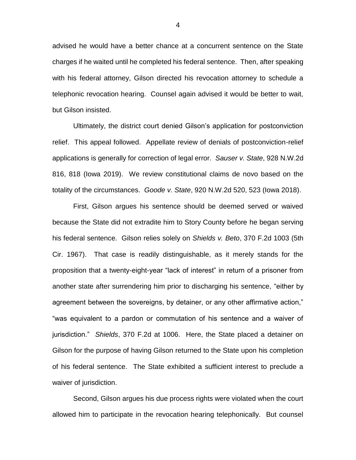advised he would have a better chance at a concurrent sentence on the State charges if he waited until he completed his federal sentence. Then, after speaking with his federal attorney, Gilson directed his revocation attorney to schedule a telephonic revocation hearing. Counsel again advised it would be better to wait, but Gilson insisted.

Ultimately, the district court denied Gilson's application for postconviction relief. This appeal followed. Appellate review of denials of postconviction-relief applications is generally for correction of legal error. *Sauser v. State*, 928 N.W.2d 816, 818 (Iowa 2019). We review constitutional claims de novo based on the totality of the circumstances. *Goode v. State*, 920 N.W.2d 520, 523 (Iowa 2018).

First, Gilson argues his sentence should be deemed served or waived because the State did not extradite him to Story County before he began serving his federal sentence. Gilson relies solely on *Shields v. Beto*, 370 F.2d 1003 (5th Cir. 1967). That case is readily distinguishable, as it merely stands for the proposition that a twenty-eight-year "lack of interest" in return of a prisoner from another state after surrendering him prior to discharging his sentence, "either by agreement between the sovereigns, by detainer, or any other affirmative action," "was equivalent to a pardon or commutation of his sentence and a waiver of jurisdiction." *Shields*, 370 F.2d at 1006. Here, the State placed a detainer on Gilson for the purpose of having Gilson returned to the State upon his completion of his federal sentence. The State exhibited a sufficient interest to preclude a waiver of jurisdiction.

Second, Gilson argues his due process rights were violated when the court allowed him to participate in the revocation hearing telephonically. But counsel